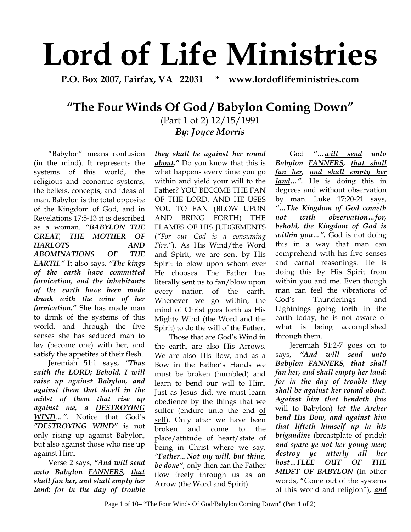## **Lord of Life Ministries**

**P.O. Box 2007, Fairfax, VA 22031 \* www.lordoflifeministries.com** 

## **"The Four Winds Of God / Babylon Coming Down"**

(Part 1 of 2) 12/15/1991 *By: Joyce Morris*

"Babylon" means confusion (in the mind). It represents the systems of this world, the religious and economic systems, the beliefs, concepts, and ideas of man. Babylon is the total opposite of the Kingdom of God, and in Revelations 17:5-13 it is described as a woman. *"BABYLON THE GREAT, THE MOTHER OF HARLOTS AND ABOMINATIONS OF THE EARTH."* It also says, *"The kings of the earth have committed fornication, and the inhabitants of the earth have been made drunk with the wine of her fornication."* She has made man to drink of the systems of this world, and through the five senses she has seduced man to lay (become one) with her, and satisfy the appetites of their flesh.

Jeremiah 51:1 says, *"Thus saith the LORD; Behold, I will raise up against Babylon, and against them that dwell in the midst of them that rise up against me, a DESTROYING WIND…".* Notice that God's *"DESTROYING WIND"* is not only rising up against Babylon, but also against those who rise up against Him.

Verse 2 says, *"And will send unto Babylon FANNERS, that shall fan her, and shall empty her land: for in the day of trouble* 

*they shall be against her round about."* Do you know that this is what happens every time you go within and yield your will to the Father? YOU BECOME THE FAN OF THE LORD, AND HE USES YOU TO FAN (BLOW UPON AND BRING FORTH) THE FLAMES OF HIS JUDGEMENTS (*"For our God is a consuming Fire."*). As His Wind/the Word and Spirit, we are sent by His Spirit to blow upon whom ever He chooses. The Father has literally sent us to fan/blow upon every nation of the earth. Whenever we go within, the mind of Christ goes forth as His Mighty Wind (the Word and the Spirit) to do the will of the Father.

Those that are God's Wind in the earth, are also His Arrows. We are also His Bow, and as a Bow in the Father's Hands we must be broken (humbled) and learn to bend our will to Him. Just as Jesus did, we must learn obedience by the things that we suffer (endure unto the end of self). Only after we have been broken and come to the place/attitude of heart/state of being in Christ where we say, *"Father…Not my will, but thine, be done"*; only then can the Father flow freely through us as an Arrow (the Word and Spirit).

God *"…will send unto Babylon FANNERS, that shall fan her, and shall empty her land…".* He is doing this in degrees and without observation by man. Luke 17:20-21 says, *"…The Kingdom of God cometh not with observation…for, behold, the Kingdom of God is within you…".* God is not doing this in a way that man can comprehend with his five senses and carnal reasonings. He is doing this by His Spirit from within you and me. Even though man can feel the vibrations of God's Thunderings and Lightnings going forth in the earth today, he is not aware of what is being accomplished through them.

 Jeremiah 51:2-7 goes on to says, *"And will send unto Babylon FANNERS, that shall fan her, and shall empty her land: for in the day of trouble they shall be against her round about. Against him that bendeth* (his will to Babylon) *let the Archer bend His Bow, and against him that lifteth himself up in his brigandine* (breastplate of pride)*: and spare ye not her young men; destroy ye utterly all her host…FLEE OUT OF THE MIDST OF BABYLON* (in other words, "Come out of the systems of this world and religion")*, and*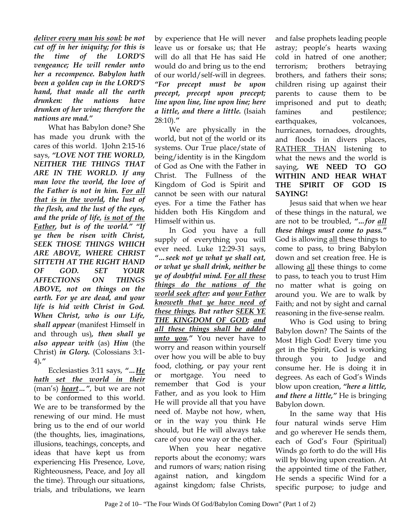*deliver every man his soul: be not cut off in her iniquity; for this is the time of the LORD'S vengeance; He will render unto her a recompence. Babylon hath been a golden cup in the LORD'S hand, that made all the earth drunken: the nations have drunken of her wine; therefore the nations are mad."* 

What has Babylon done? She has made you drunk with the cares of this world. 1John 2:15-16 says, *"LOVE NOT THE WORLD, NEITHER THE THINGS THAT ARE IN THE WORLD. If any man love the world, the love of the Father is not in him. For all that is in the world, the lust of the flesh, and the lust of the eyes, and the pride of life, is not of the Father, but is of the world." "If ye then be risen with Christ, SEEK THOSE THINGS WHICH ARE ABOVE, WHERE CHRIST SITTETH AT THE RIGHT HAND OF GOD. SET YOUR AFFECTIONS ON THINGS ABOVE, not on things on the earth. For ye are dead, and your life is hid with Christ in God. When Christ, who is our Life, shall appear* (manifest Himself in and through us)*, then shall ye also appear with* (as) *Him* (the Christ) *in Glory.* (Colossians 3:1- 4)*."* 

 Ecclesiasties 3:11 says, *"…He hath set the world in their* (man's) *heart…"*, but we are not to be conformed to this world. We are to be transformed by the renewing of our mind. He must bring us to the end of our world (the thoughts, lies, imaginations, illusions, teachings, concepts, and ideas that have kept us from experiencing His Presence, Love, Righteousness, Peace, and Joy all the time). Through our situations, trials, and tribulations, we learn

by experience that He will never leave us or forsake us; that He will do all that He has said He would do and bring us to the end of our world/self-will in degrees. *"For precept must be upon precept, precept upon precept; line upon line, line upon line; here a little, and there a little.* (Isaiah 28:10).*"*

We are physically in the world, but not of the world or its systems. Our True place/state of being/identity is in the Kingdom of God as One with the Father in Christ. The Fullness of the Kingdom of God is Spirit and cannot be seen with our natural eyes. For a time the Father has hidden both His Kingdom and Himself within us.

 In God you have a full supply of everything you will ever need. Luke 12:29-31 says, *"…seek not ye what ye shall eat, or what ye shall drink, neither be ye of doubtful mind. For all these things do the nations of the world seek after: and your Father knoweth that ye have need of these things. But rather SEEK YE THE KINGDOM OF GOD; and all these things shall be added unto you."* You never have to worry and reason within yourself over how you will be able to buy food, clothing, or pay your rent or mortgage. You need to remember that God is your Father, and as you look to Him He will provide all that you have need of. Maybe not how, when, or in the way you think He should, but He will always take care of you one way or the other.

 When you hear negative reports about the economy; wars and rumors of wars; nation rising against nation, and kingdom against kingdom; false Christs,

and false prophets leading people astray; people's hearts waxing cold in hatred of one another; terrorism; brothers betraying brothers, and fathers their sons; children rising up against their parents to cause them to be imprisoned and put to death; famines and pestilence; earthquakes, volcanoes, hurricanes, tornadoes, droughts, and floods in divers places, RATHER THAN listening to what the news and the world is saying, **WE NEED TO GO WITHIN AND HEAR WHAT THE SPIRIT OF GOD IS SAYING!**

Jesus said that when we hear of these things in the natural, we are not to be troubled, *"…for all these things must come to pass."* God is allowing all these things to come to pass, to bring Babylon down and set creation free. He is allowing all these things to come to pass, to teach you to trust Him no matter what is going on around you. We are to walk by Faith; and not by sight and carnal reasoning in the five-sense realm.

 Who is God using to bring Babylon down? The Saints of the Most High God! Every time you get in the Spirit, God is working through you to Judge and consume her. He is doing it in degrees. As each of God's Winds blow upon creation, *"here a little, and there a little,"* He is bringing Babylon down.

 In the same way that His four natural winds serve Him and go wherever He sends them, each of God's Four (Spiritual) Winds go forth to do the will His will by blowing upon creation. At the appointed time of the Father, He sends a specific Wind for a specific purpose; to judge and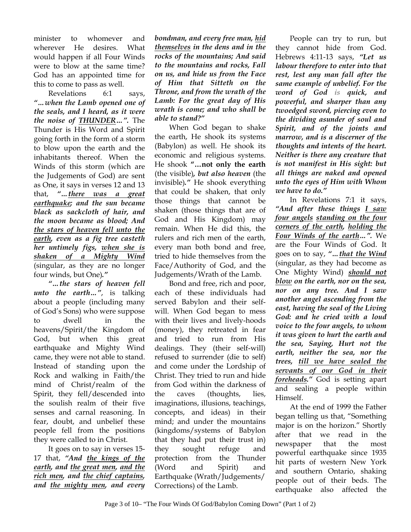minister to whomever and wherever He desires. What would happen if all Four Winds were to blow at the same time? God has an appointed time for this to come to pass as well.

Revelations 6:1 says, *"…when the Lamb opened one of the seals, and I heard, as it were the noise of THUNDER…".* The Thunder is His Word and Spirit going forth in the form of a storm to blow upon the earth and the inhabitants thereof. When the Winds of this storm (which are the Judgements of God) are sent as One, it says in verses 12 and 13 that, *"…there was a great earthquake; and the sun became black as sackcloth of hair, and the moon became as blood; And the stars of heaven fell unto the earth, even as a fig tree casteth her untimely figs, when she is shaken of a Mighty Wind* (singular, as they are no longer four winds, but One)*."* 

*"…the stars of heaven fell unto the earth…"*, is talking about a people (including many of God's Sons) who were suppose to dwell in the heavens/Spirit/the Kingdom of God, but when this great earthquake and Mighty Wind came, they were not able to stand. Instead of standing upon the Rock and walking in Faith/the mind of Christ/realm of the Spirit, they fell/descended into the soulish realm of their five senses and carnal reasoning. In fear, doubt, and unbelief these people fell from the positions they were called to in Christ.

It goes on to say in verses 15- 17 that, *"And the kings of the earth, and the great men, and the rich men, and the chief captains, and the mighty men, and every* 

*bondman, and every free man, hid themselves in the dens and in the rocks of the mountains; And said to the mountains and rocks, Fall on us, and hide us from the Face of Him that Sitteth on the Throne, and from the wrath of the Lamb: For the great day of His wrath is come; and who shall be able to stand?"* 

When God began to shake the earth, He shook its systems (Babylon) as well. He shook its economic and religious systems. He shook **"…not only the earth** (the visible)*, but also heaven* (the invisible)*."* He shook everything that could be shaken, that only those things that cannot be shaken (those things that are of God and His Kingdom) may remain. When He did this, the rulers and rich men of the earth, every man both bond and free, tried to hide themselves from the Face/Authority of God, and the Judgements/Wrath of the Lamb.

Bond and free, rich and poor, each of these individuals had served Babylon and their selfwill. When God began to mess with their lives and lively-hoods (money), they retreated in fear and tried to run from His dealings. They (their self-will) refused to surrender (die to self) and come under the Lordship of Christ. They tried to run and hide from God within the darkness of the caves (thoughts, lies, imaginations, illusions, teachings, concepts, and ideas) in their mind; and under the mountains (kingdoms/systems of Babylon that they had put their trust in) they sought refuge and protection from the Thunder (Word and Spirit) and Earthquake (Wrath/Judgements/ Corrections) of the Lamb.

People can try to run, but they cannot hide from God. Hebrews 4:11-13 says, *"Let us labour therefore to enter into that rest, lest any man fall after the same example of unbelief. For the word of God is quick, and powerful, and sharper than any twoedged sword, piercing even to the dividing asunder of soul and Spirit, and of the joints and marrow, and is a discerner of the thoughts and intents of the heart. Neither is there any creature that is not manifest in His sight: but all things are naked and opened unto the eyes of Him with Whom we have to do."* 

In Revelations 7:1 it says, *"And after these things I saw four angels standing on the four corners of the earth, holding the Four Winds of the earth…".* We are the Four Winds of God. It goes on to say, *"…that the Wind* (singular, as they had become as One Mighty Wind) *should not blow on the earth, nor on the sea, nor on any tree. And I saw another angel ascending from the east, having the seal of the Living God: and he cried with a loud voice to the four angels, to whom it was given to hurt the earth and the sea, Saying, Hurt not the earth, neither the sea, nor the trees, till we have sealed the servants of our God in their foreheads."* God is setting apart and sealing a people within Himself.

At the end of 1999 the Father began telling us that, "Something major is on the horizon." Shortly after that we read in the newspaper that the most powerful earthquake since 1935 hit parts of western New York and southern Ontario, shaking people out of their beds. The earthquake also affected the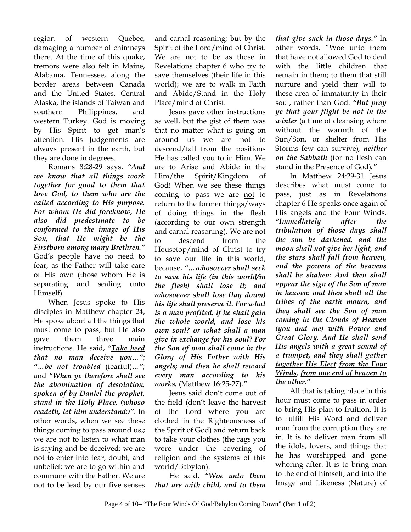region of western Quebec, damaging a number of chimneys there. At the time of this quake, tremors were also felt in Maine, Alabama, Tennessee, along the border areas between Canada and the United States, Central Alaska, the islands of Taiwan and southern Philippines, and western Turkey. God is moving by His Spirit to get man's attention. His Judgements are always present in the earth, but they are done in degrees.

Romans 8:28-29 says, *"And we know that all things work together for good to them that love God, to them who are the called according to His purpose. For whom He did foreknow, He also did predestinate to be conformed to the image of His Son, that He might be the Firstborn among many Brethren."*  God's people have no need to fear, as the Father will take care of His own (those whom He is separating and sealing unto Himself).

When Jesus spoke to His disciples in Matthew chapter 24, He spoke about all the things that must come to pass, but He also gave them three main instructions. He said, *"Take heed that no man deceive you…"*; *"…be not troubled* (fearful)*…"*; and *"When ye therefore shall see the abomination of desolation, spoken of by Daniel the prophet, stand in the Holy Place, (whoso readeth, let him understand:)"*. In other words, when we see these things coming to pass around us,; we are not to listen to what man is saying and be deceived; we are not to enter into fear, doubt, and unbelief; we are to go within and commune with the Father. We are not to be lead by our five senses

and carnal reasoning; but by the Spirit of the Lord/mind of Christ. We are not to be as those in Revelations chapter 6 who try to save themselves (their life in this world); we are to walk in Faith and Abide/Stand in the Holy Place/mind of Christ.

Jesus gave other instructions as well, but the gist of them was that no matter what is going on around us we are not to descend/fall from the positions He has called you to in Him. We are to Arise and Abide in the Him/the Spirit/Kingdom of God! When we see these things coming to pass we are not to return to the former things/ways of doing things in the flesh (according to our own strength and carnal reasoning). We are not to descend from the Housetop/mind of Christ to try to save our life in this world, because, *"…whosoever shall seek to save his life (in this world/in the flesh) shall lose it; and whosoever shall lose (lay down) his life shall preserve it. For what is a man profited, if he shall gain the whole world, and lose his own soul? or what shall a man give in exchange for his soul? For the Son of man shall come in the Glory of His Father with His angels; and then he shall reward every man according to his works.* (Matthew 16:25-27)*."* 

Jesus said don't come out of the field (don't leave the harvest of the Lord where you are clothed in the Righteousness of the Spirit of God) and return back to take your clothes (the rags you wore under the covering of religion and the systems of this world/Babylon).

He said, *"Woe unto them that are with child, and to them* 

*that give suck in those days."* In other words, "Woe unto them that have not allowed God to deal with the little children that remain in them; to them that still nurture and yield their will to these area of immaturity in their soul, rather than God. *"But pray ye that your flight be not in the winter* (a time of cleansing where without the warmth of the Sun/Son, or shelter from His Storms few can survive)*, neither on the Sabbath* (for no flesh can stand in the Presence of God)*."* 

In Matthew 24:29-31 Jesus describes what must come to pass, just as in Revelations chapter 6 He speaks once again of His angels and the Four Winds. *"Immediately after the tribulation of those days shall the sun be darkened, and the moon shall not give her light, and the stars shall fall from heaven, and the powers of the heavens shall be shaken: And then shall appear the sign of the Son of man in heaven: and then shall all the tribes of the earth mourn, and they shall see the Son of man coming in the Clouds of Heaven (you and me) with Power and Great Glory. And He shall send His angels with a great sound of a trumpet, and they shall gather together His Elect from the Four Winds, from one end of heaven to the other."*

All that is taking place in this hour must come to pass in order to bring His plan to fruition. It is to fulfill His Word and deliver man from the corruption they are in. It is to deliver man from all the idols, lovers, and things that he has worshipped and gone whoring after. It is to bring man to the end of himself, and into the Image and Likeness (Nature) of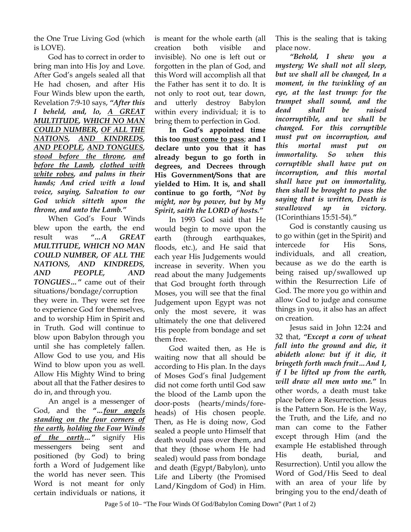the One True Living God (which is LOVE).

God has to correct in order to bring man into His Joy and Love. After God's angels sealed all that He had chosen, and after His Four Winds blew upon the earth, Revelation 7:9-10 says, *"After this I beheld, and, lo, A GREAT MULTITUDE, WHICH NO MAN COULD NUMBER, OF ALL THE NATIONS, AND KINDREDS, AND PEOPLE, AND TONGUES, stood before the throne, and before the Lamb, clothed with white robes, and palms in their hands; And cried with a loud voice, saying, Salvation to our God which sitteth upon the throne, and unto the Lamb."*

When God's Four Winds blew upon the earth, the end result was *"…A GREAT MULTITUDE, WHICH NO MAN COULD NUMBER, OF ALL THE NATIONS, AND KINDREDS, AND PEOPLE, AND TONGUES…"* came out of their situations/bondage/corruption they were in. They were set free to experience God for themselves, and to worship Him in Spirit and in Truth*.* God will continue to blow upon Babylon through you until she has completely fallen. Allow God to use you, and His Wind to blow upon you as well. Allow His Mighty Wind to bring about all that the Father desires to do in, and through you.

An angel is a messenger of God, and the *"…four angels standing on the four corners of the earth, holding the Four Winds of the earth…"* signify His messengers being sent and positioned (by God) to bring forth a Word of Judgement like the world has never seen. This Word is not meant for only certain individuals or nations, it

is meant for the whole earth (all creation both visible and invisible). No one is left out or forgotten in the plan of God, and this Word will accomplish all that the Father has sent it to do. It is not only to root out, tear down, and utterly destroy Babylon within every individual; it is to bring them to perfection in God.

**In God's appointed time this too must come to pass**; **and I declare unto you that it has already begun to go forth in degrees, and Decrees through His Government/Sons that are yielded to Him. It is, and shall continue to go forth,** *"Not by might, nor by power, but by My Spirit, saith the LORD of hosts."*

In 1993 God said that He would begin to move upon the earth (through earthquakes, floods, etc.), and He said that each year His Judgements would increase in severity. When you read about the many Judgements that God brought forth through Moses, you will see that the final Judgement upon Egypt was not only the most severe, it was ultimately the one that delivered His people from bondage and set them free.

God waited then, as He is waiting now that all should be according to His plan. In the days of Moses God's final Judgement did not come forth until God saw the blood of the Lamb upon the door-posts (hearts/minds/foreheads) of His chosen people. Then, as He is doing now, God sealed a people unto Himself that death would pass over them, and that they (those whom He had sealed) would pass from bondage and death (Egypt/Babylon), unto Life and Liberty (the Promised Land/Kingdom of God) in Him.

This is the sealing that is taking place now.

*"Behold, I shew you a mystery; We shall not all sleep, but we shall all be changed, In a moment, in the twinkling of an eye, at the last trump: for the trumpet shall sound, and the dead shall be raised incorruptible, and we shall be changed. For this corruptible must put on incorruption, and this mortal must put on immortality. So when this corruptible shall have put on incorruption, and this mortal shall have put on immortality, then shall be brought to pass the saying that is written, Death is swallowed up in victory.* (1Corinthians 15:51-54).*"*

 God is constantly causing us to go within (get in the Spirit) and intercede for His Sons, individuals, and all creation, because as we do the earth is being raised up/swallowed up within the Resurrection Life of God. The more you go within and allow God to judge and consume things in you, it also has an affect on creation.

Jesus said in John 12:24 and 32 that, *"Except a corn of wheat fall into the ground and die, it abideth alone: but if it die, it bringeth forth much fruit…And I, if I be lifted up from the earth, will draw all men unto me."* In other words, a death must take place before a Resurrection. Jesus is the Pattern Son. He is the Way, the Truth, and the Life, and no man can come to the Father except through Him (and the example He established through His death, burial, and Resurrection). Until you allow the Word of God/His Seed to deal with an area of your life by bringing you to the end/death of

Page 5 of 10– "The Four Winds Of God/Babylon Coming Down" (Part 1 of 2)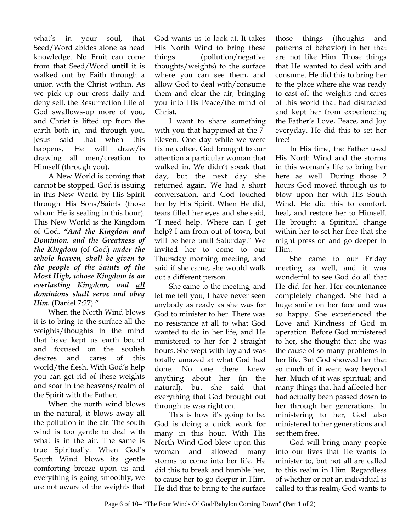what's in your soul, that Seed/Word abides alone as head knowledge. No Fruit can come from that Seed/Word **until** it is walked out by Faith through a union with the Christ within. As we pick up our cross daily and deny self, the Resurrection Life of God swallows-up more of you, and Christ is lifted up from the earth both in, and through you. Jesus said that when this happens, He will draw/is drawing all men/creation to Himself (through you).

A New World is coming that cannot be stopped. God is issuing in this New World by His Spirit through His Sons/Saints (those whom He is sealing in this hour). This New World is the Kingdom of God. *"And the Kingdom and Dominion, and the Greatness of the Kingdom* (of God) *under the whole heaven, shall be given to the people of the Saints of the Most High, whose Kingdom is an everlasting Kingdom, and all dominions shall serve and obey Him.* (Daniel 7:27).*"*

 When the North Wind blows it is to bring to the surface all the weights/thoughts in the mind that have kept us earth bound and focused on the soulish desires and cares of this world/the flesh. With God's help you can get rid of these weights and soar in the heavens/realm of the Spirit with the Father.

When the north wind blows in the natural, it blows away all the pollution in the air. The south wind is too gentle to deal with what is in the air. The same is true Spiritually. When God's South Wind blows its gentle comforting breeze upon us and everything is going smoothly, we are not aware of the weights that

God wants us to look at. It takes His North Wind to bring these things (pollution/negative thoughts/weights) to the surface where you can see them, and allow God to deal with/consume them and clear the air, bringing you into His Peace/the mind of Christ.

 I want to share something with you that happened at the 7- Eleven. One day while we were fixing coffee, God brought to our attention a particular woman that walked in. We didn't speak that day, but the next day she returned again. We had a short conversation, and God touched her by His Spirit. When He did, tears filled her eyes and she said, "I need help. Where can I get help? I am from out of town, but will be here until Saturday." We invited her to come to our Thursday morning meeting, and said if she came, she would walk out a different person.

 She came to the meeting, and let me tell you, I have never seen anybody as ready as she was for God to minister to her. There was no resistance at all to what God wanted to do in her life, and He ministered to her for 2 straight hours. She wept with Joy and was totally amazed at what God had done. No one there knew anything about her (in the natural), but she said that everything that God brought out through us was right on.

 This is how it's going to be. God is doing a quick work for many in this hour. With His North Wind God blew upon this woman and allowed many storms to come into her life. He did this to break and humble her, to cause her to go deeper in Him. He did this to bring to the surface

those things (thoughts and patterns of behavior) in her that are not like Him. Those things that He wanted to deal with and consume. He did this to bring her to the place where she was ready to cast off the weights and cares of this world that had distracted and kept her from experiencing the Father's Love, Peace, and Joy everyday. He did this to set her free!

In His time, the Father used His North Wind and the storms in this woman's life to bring her here as well. During those 2 hours God moved through us to blow upon her with His South Wind. He did this to comfort, heal, and restore her to Himself. He brought a Spiritual change within her to set her free that she might press on and go deeper in Him.

She came to our Friday meeting as well, and it was wonderful to see God do all that He did for her. Her countenance completely changed. She had a huge smile on her face and was so happy. She experienced the Love and Kindness of God in operation. Before God ministered to her, she thought that she was the cause of so many problems in her life. But God showed her that so much of it went way beyond her. Much of it was spiritual; and many things that had affected her had actually been passed down to her through her generations. In ministering to her, God also ministered to her generations and set them free.

 God will bring many people into our lives that He wants to minister to, but not all are called to this realm in Him. Regardless of whether or not an individual is called to this realm, God wants to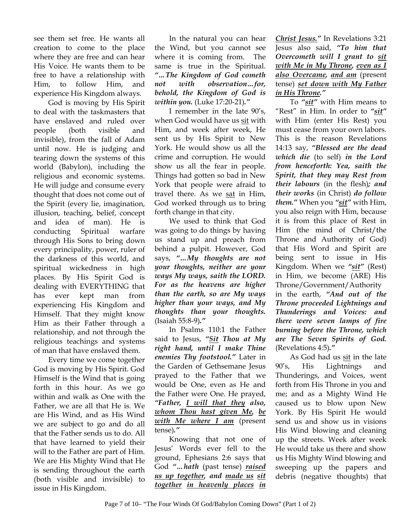see them set free. He wants all creation to come to the place where they are free and can hear His Voice. He wants them to be free to have a relationship with Him, to follow Him, and experience His Kingdom always.

God is moving by His Spirit to deal with the taskmasters that have enslaved and ruled over people (both visible and invisible), from the fall of Adam until now. He is judging and tearing down the systems of this world (Babylon), including the religious and economic systems. He will judge and consume every thought that does not come out of the Spirit (every lie, imagination, illusion, teaching, belief, concept and idea of man). He is conducting Spiritual warfare through His Sons to bring down every principality, power, ruler of the darkness of this world, and spiritual wickedness in high places. By His Spirit God is dealing with EVERYTHING that has ever kept man from experiencing His Kingdom and Himself. That they might know Him as their Father through a relationship, and not through the religious teachings and systems of man that have enslaved them.

Every time we come together God is moving by His Spirit. God Himself is the Wind that is going forth in this hour. As we go within and walk as One with the Father, we are all that He is. We are His Wind, and as His Wind we are subject to go and do all that the Father sends us to do. All that have learned to yield their will to the Father are part of Him. We are His Mighty Wind that He is sending throughout the earth (both visible and invisible) to issue in His Kingdom.

In the natural you can hear the Wind, but you cannot see where it is coming from. The same is true in the Spiritual. *"…The Kingdom of God cometh not with observation…for, behold, the Kingdom of God is within you.* (Luke 17:20-21)*."*

I remember in the late 90's, when God would have us sit with Him, and week after week, He sent us by His Spirit to New York. He would show us all the crime and corruption. He would show us all the fear in people. Things had gotten so bad in New York that people were afraid to travel there. As we sat in Him, God worked through us to bring forth change in that city.

We used to think that God was going to do things by having us stand up and preach from behind a pulpit. However, God says, *"…My thoughts are not your thoughts, neither are your ways My ways, saith the LORD. For as the heavens are higher than the earth, so are My ways higher than your ways, and My thoughts than your thoughts.*  (Isaiah 55:8-9)*."*

 In Psalms 110:1 the Father said to Jesus, *"Sit Thou at My right hand, until I make Thine enemies Thy footstool."* Later in the Garden of Gethsemane Jesus prayed to the Father that we would be One, even as He and the Father were One. He prayed, *"Father, I will that they also, whom Thou hast given Me, be with Me where I am* (present tense)*."* 

Knowing that not one of Jesus' Words ever fell to the ground, Ephesians 2:6 says that God *"…hath* (past tense) *raised us up together, and made us sit together in heavenly places in*  *Christ Jesus."* In Revelations 3:21 Jesus also said, *"To him that Overcometh will I grant to sit with Me in My Throne, even as I also Overcame, and am* (present tense) *set down with My Father in His Throne."* 

To *"sit"* with Him means to "Rest" in Him. In order to *"sit"* with Him (enter His Rest) you must cease from your own labors. This is the reason Revelations 14:13 say, *"Blessed are the dead which die* (to self) *in the Lord from henceforth: Yea, saith the Spirit, that they may Rest from their labours* (in the flesh)*; and their works* (in Christ) *do follow them."* When you *"sit"* with Him, you also reign with Him, because it is from this place of Rest in Him (the mind of Christ/the Throne and Authority of God) that His Word and Spirit are being sent to issue in His Kingdom. When we *"sit"* (Rest) in Him, we become (ARE) His Throne/Government/Authority in the earth, *"And out of the Throne proceeded Lightnings and Thunderings and Voices: and there were seven lamps of fire burning before the Throne, which are The Seven Spirits of God.* (Revelations 4:5)*."*

As God had us sit in the late 90's, His Lightnings and Thunderings, and Voices, went forth from His Throne in you and me; and as a Mighty Wind He caused us to blow upon New York. By His Spirit He would send us and show us in visions His Wind blowing and cleaning up the streets. Week after week He would take us there and show us His Mighty Wind blowing and sweeping up the papers and debris (negative thoughts) that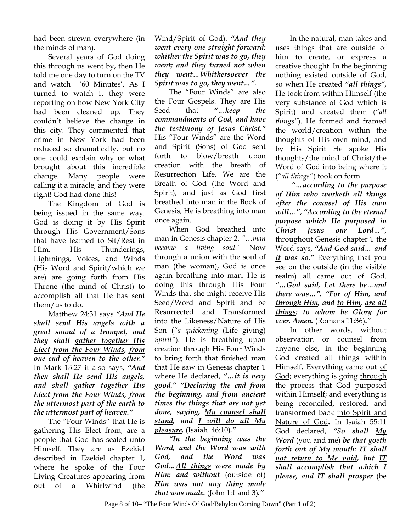had been strewn everywhere (in the minds of man).

Several years of God doing this through us went by, then He told me one day to turn on the TV and watch '60 Minutes'. As I turned to watch it they were reporting on how New York City had been cleaned up. They couldn't believe the change in this city. They commented that crime in New York had been reduced so dramatically, but no one could explain why or what brought about this incredible change. Many people were calling it a miracle, and they were right! God had done this!

The Kingdom of God is being issued in the same way. God is doing it by His Spirit through His Government/Sons that have learned to Sit/Rest in Him. His Thunderings, Lightnings, Voices, and Winds (His Word and Spirit/which we are) are going forth from His Throne (the mind of Christ) to accomplish all that He has sent them/us to do.

Matthew 24:31 says *"And He shall send His angels with a great sound of a trumpet, and they shall gather together His Elect from the Four Winds, from one end of heaven to the other."* In Mark 13:27 it also says, *"And then shall He send His angels, and shall gather together His Elect from the Four Winds, from the uttermost part of the earth to the uttermost part of heaven."*

The "Four Winds" that He is gathering His Elect from, are a people that God has sealed unto Himself. They are as Ezekiel described in Ezekiel chapter 1, where he spoke of the Four Living Creatures appearing from out of a Whirlwind (the

Wind/Spirit of God). *"And they went every one straight forward: whither the Spirit was to go, they went; and they turned not when they went…Whithersoever the Spirit was to go, they went…".*

The "Four Winds" are also the Four Gospels. They are His Seed that *"…keep the commandments of God, and have the testimony of Jesus Christ."*  His "Four Winds" are the Word and Spirit (Sons) of God sent forth to blow/breath upon creation with the breath of Resurrection Life. We are the Breath of God (the Word and Spirit), and just as God first breathed into man in the Book of Genesis, He is breathing into man once again.

When God breathed into man in Genesis chapter 2, *"…man became a living soul."* Now through a union with the soul of man (the woman), God is once again breathing into man. He is doing this through His Four Winds that she might receive His Seed/Word and Spirit and be Resurrected and Transformed into the Likeness/Nature of His Son (*"a quickening* (Life giving) *Spirit"*). He is breathing upon creation through His Four Winds to bring forth that finished man that He saw in Genesis chapter 1 where He declared, *"…it is very good." "Declaring the end from the beginning, and from ancient times the things that are not yet done, saying, My counsel shall stand, and I will do all My pleasure.* (Isaiah 46:10)*."*

*"In the beginning was the Word, and the Word was with God, and the Word was God…All things were made by Him; and without* (outside of) *Him was not any thing made that was made.* (John 1:1 and 3)*."*

In the natural, man takes and uses things that are outside of him to create, or express a creative thought. In the beginning nothing existed outside of God, so when He created *"all things"*, He took from within Himself (the very substance of God which is Spirit) and created them (*"all things"*). He formed and framed the world/creation within the thoughts of His own mind, and by His Spirit He spoke His thoughts/the mind of Christ/the Word of God into being where it (*"all things"*) took on form.

*"…according to the purpose of Him who worketh all things after the counsel of His own will…"*, *"According to the eternal purpose which He purposed in Christ Jesus our Lord…"*, throughout Genesis chapter 1 the Word says, *"And God said… and it was so."* Everything that you see on the outside (in the visible realm) all came out of God. *"…God said, Let there be…and there was…". "For of Him, and through Him, and to Him, are all things: to whom be Glory for ever. Amen.* (Romans 11:36)**.***"*

In other words, without observation or counsel from anyone else, in the beginning God created all things within Himself. Everything came out of God; everything is going through the process that God purposed within Himself; and everything is being reconciled, restored, and transformed back into Spirit and Nature of God**.** In Isaiah 55:11 God declared, *"So shall My Word* (you and me) *be that goeth forth out of My mouth: IT shall not return to Me void, but IT shall accomplish that which I please, and IT shall prosper* (be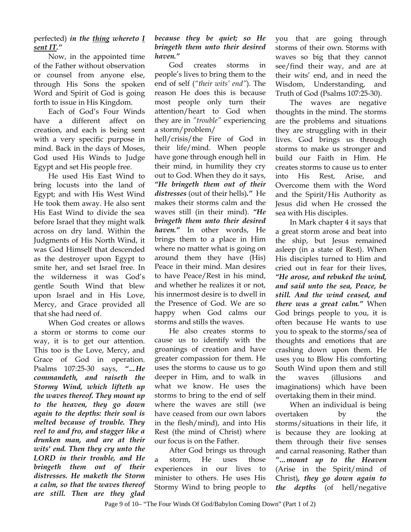perfected) *in the thing whereto I sent IT."* 

Now, in the appointed time of the Father without observation or counsel from anyone else, through His Sons the spoken Word and Spirit of God is going forth to issue in His Kingdom.

Each of God's Four Winds have a different affect on creation, and each is being sent with a very specific purpose in mind. Back in the days of Moses, God used His Winds to Judge Egypt and set His people free.

He used His East Wind to bring locusts into the land of Egypt; and with His West Wind He took them away. He also sent His East Wind to divide the sea before Israel that they might walk across on dry land. Within the Judgments of His North Wind, it was God Himself that descended as the destroyer upon Egypt to smite her, and set Israel free. In the wilderness it was God's gentle South Wind that blew upon Israel and in His Love, Mercy, and Grace provided all that she had need of.

When God creates or allows a storm or storms to come our way, it is to get our attention. This too is the Love, Mercy, and Grace of God in operation. Psalms 107:25-30 says, *"…He commandeth, and raiseth the Stormy Wind, which lifteth up the waves thereof. They mount up to the heaven, they go down again to the depths: their soul is melted because of trouble. They reel to and fro, and stagger like a drunken man, and are at their wits' end. Then they cry unto the LORD in their trouble, and He bringeth them out of their distresses. He maketh the Storm a calm, so that the waves thereof are still. Then are they glad* 

## *because they be quiet; so He bringeth them unto their desired haven."*

God creates storms in people's lives to bring them to the end of self (*"their wits' end"*). The reason He does this is because most people only turn their attention/heart to God when they are in *"trouble"* experiencing a storm/problem/

hell/crisis/the Fire of God in their life/mind. When people have gone through enough hell in their mind, in humility they cry out to God. When they do it says, *"He bringeth them out of their distresses* (out of their hells)*."* He makes their storms calm and the waves still (in their mind). *"He bringeth them unto their desired haven."* In other words, He brings them to a place in Him where no matter what is going on around them they have (His) Peace in their mind. Man desires to have Peace/Rest in his mind, and whether he realizes it or not, his innermost desire is to dwell in the Presence of God. We are so happy when God calms our storms and stills the waves.

He also creates storms to cause us to identify with the groanings of creation and have greater compassion for them. He uses the storms to cause us to go deeper in Him, and to walk in what we know. He uses the storms to bring to the end of self where the waves are still (we have ceased from our own labors in the flesh/mind), and into His Rest (the mind of Christ) where our focus is on the Father.

After God brings us through a storm, He uses those experiences in our lives to minister to others. He uses His Stormy Wind to bring people to

you that are going through storms of their own. Storms with waves so big that they cannot see/find their way, and are at their wits' end, and in need the Wisdom, Understanding, and Truth of God (Psalms 107:25-30).

The waves are negative thoughts in the mind. The storms are the problems and situations they are struggling with in their lives. God brings us through storms to make us stronger and build our Faith in Him. He creates storms to cause us to enter into His Rest, Arise, and Overcome them with the Word and the Spirit/His Authority as Jesus did when He crossed the sea with His disciples.

In Mark chapter 4 it says that a great storm arose and beat into the ship, but Jesus remained asleep (in a state of Rest). When His disciples turned to Him and cried out in fear for their lives, *"He arose, and rebuked the wind, and said unto the sea, Peace, be still. And the wind ceased, and there was a great calm."* When God brings people to you, it is often because He wants to use you to speak to the storms/sea of thoughts and emotions that are crashing down upon them. He uses you to Blow His comforting South Wind upon them and still the waves (illusions and imaginations) which have been overtaking them in their mind.

When an individual is being overtaken by the storms/situations in their life, it is because they are looking at them through their five senses and carnal reasoning. Rather than *"…mount up to the Heaven*  (Arise in the Spirit/mind of Christ)*, they go down again to the depths* (of hell/negative